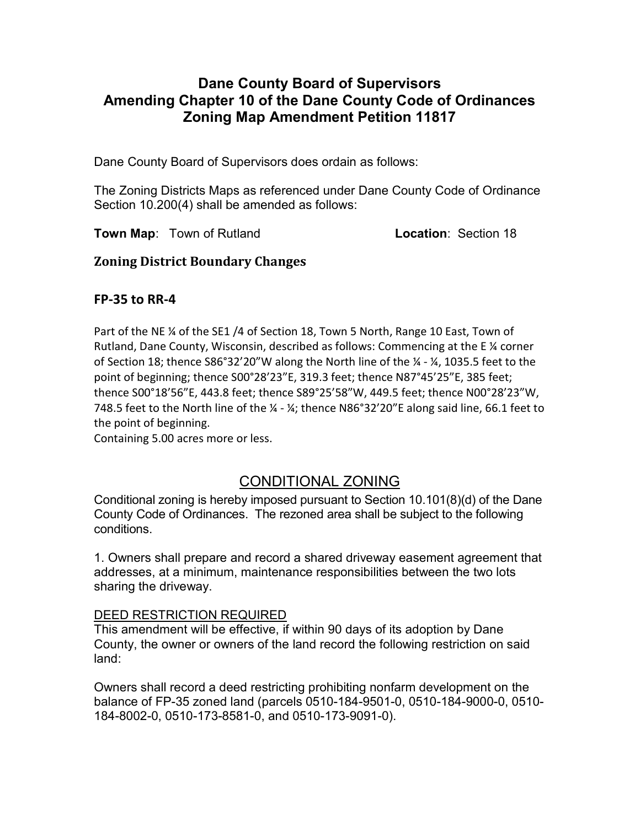## Dane County Board of Supervisors Amending Chapter 10 of the Dane County Code of Ordinances Zoning Map Amendment Petition 11817

Dane County Board of Supervisors does ordain as follows:

The Zoning Districts Maps as referenced under Dane County Code of Ordinance Section 10.200(4) shall be amended as follows:

**Town Map:** Town of Rutland **Location: Section 18** 

### Zoning District Boundary Changes

### FP-35 to RR-4

Part of the NE ¼ of the SE1 /4 of Section 18, Town 5 North, Range 10 East, Town of Rutland, Dane County, Wisconsin, described as follows: Commencing at the E $\frac{1}{4}$  corner of Section 18; thence S86°32'20"W along the North line of the ¼ - ¼, 1035.5 feet to the point of beginning; thence S00°28'23"E, 319.3 feet; thence N87°45'25"E, 385 feet; thence S00°18'56"E, 443.8 feet; thence S89°25'58"W, 449.5 feet; thence N00°28'23"W, 748.5 feet to the North line of the ¼ - ¼; thence N86°32'20"E along said line, 66.1 feet to the point of beginning.

Containing 5.00 acres more or less.

# CONDITIONAL ZONING

Conditional zoning is hereby imposed pursuant to Section 10.101(8)(d) of the Dane County Code of Ordinances. The rezoned area shall be subject to the following conditions.

1. Owners shall prepare and record a shared driveway easement agreement that addresses, at a minimum, maintenance responsibilities between the two lots sharing the driveway.

### DEED RESTRICTION REQUIRED

This amendment will be effective, if within 90 days of its adoption by Dane County, the owner or owners of the land record the following restriction on said land:

Owners shall record a deed restricting prohibiting nonfarm development on the balance of FP-35 zoned land (parcels 0510-184-9501-0, 0510-184-9000-0, 0510- 184-8002-0, 0510-173-8581-0, and 0510-173-9091-0).